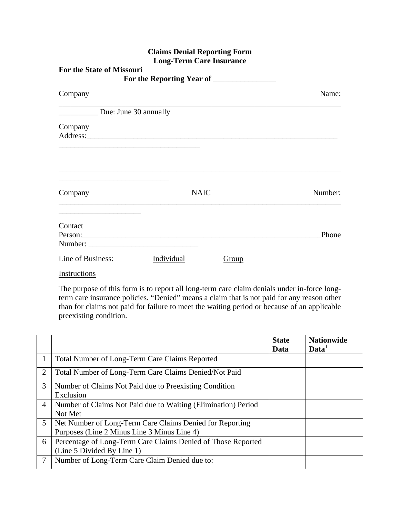| <b>For the State of Missouri</b> |             |       |         |
|----------------------------------|-------------|-------|---------|
| Company                          |             |       | Name:   |
| Due: June 30 annually            |             |       |         |
| Company                          |             |       |         |
| Company                          | <b>NAIC</b> |       | Number: |
| Contact                          |             |       | Phone   |
| Line of Business:                | Individual  | Group |         |

Instructions

The purpose of this form is to report all long-term care claim denials under in-force longterm care insurance policies. "Denied" means a claim that is not paid for any reason other than for claims not paid for failure to meet the waiting period or because of an applicable preexisting condition.

|                |                                                                                                         | <b>State</b><br>Data | <b>Nationwide</b><br>$\mathbf{Data}^{\perp}$ |
|----------------|---------------------------------------------------------------------------------------------------------|----------------------|----------------------------------------------|
|                | Total Number of Long-Term Care Claims Reported                                                          |                      |                                              |
| 2              | Total Number of Long-Term Care Claims Denied/Not Paid                                                   |                      |                                              |
| 3              | Number of Claims Not Paid due to Preexisting Condition<br>Exclusion                                     |                      |                                              |
| $\overline{4}$ | Number of Claims Not Paid due to Waiting (Elimination) Period<br>Not Met                                |                      |                                              |
| 5 <sup>5</sup> | Net Number of Long-Term Care Claims Denied for Reporting<br>Purposes (Line 2 Minus Line 3 Minus Line 4) |                      |                                              |
| 6              | Percentage of Long-Term Care Claims Denied of Those Reported<br>(Line 5 Divided By Line 1)              |                      |                                              |
| 7              | Number of Long-Term Care Claim Denied due to:                                                           |                      |                                              |